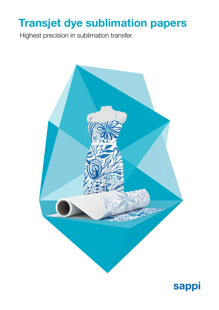# Transjet dye sublimation papers

Highest precision in sublimation transfer.



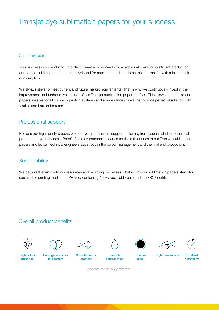# Transjet dye sublimation papers for your success

# Our mission

Your success is our ambition. In order to meet all your needs for a high-quality and cost-efficient production, our coated sublimation papers are developed for maximum and consistent colour transfer with minimum ink consumption.

We always strive to meet current and future market requirements. That is why we continuously invest in the improvement and further development of our Transjet sublimation paper portfolio. This allows us to make our papers suitable for all common printing systems and a wide range of inks that provide perfect results for both textiles and hard substrates.

# Professional support

Besides our high quality papers, we offer you professional support – starting from your initial idea to the final product and your success. Benefit from our personal guidance for the efficient use of our Transjet sublimation papers and let our technical engineers assist you in the colour management and the final end production.

# **Sustainability**

We pay great attention to our resources and recycling processes. That is why our sublimation papers stand for sustainable printing media, are PE-free, containing 100% recyclable pulp and are FSC<sup>®</sup> certified.

# Overall product benefits









brilliance

lour results

gradient

consumption

Intense black

High transfer rate Excellent

runnability

*benefits for all our products*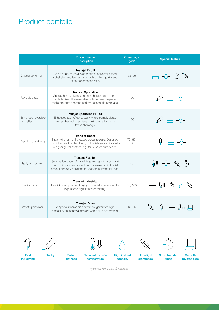# Product portfolio

|                                           | <b>Product name</b><br><b>Description</b>                                                                                                                                                                  | Grammage<br>g/m <sup>2</sup> | <b>Special feature</b>                                             |
|-------------------------------------------|------------------------------------------------------------------------------------------------------------------------------------------------------------------------------------------------------------|------------------------------|--------------------------------------------------------------------|
| Classic performer                         | <b>Transjet Eco II</b><br>Can be applied on a wide range of polyester based<br>substrates and textiles for an outstanding quality and<br>price-performance ratio.                                          | 68, 95                       | $\mathbb{Z}$ $\mathbb{C}$ $\rightarrow$ $\mathbb{C}$               |
| Reversible tack                           | <b>Transjet Sportsline</b><br>Special heat-active coating attaches papers to stret-<br>chable textiles. The reversible tack between paper and<br>textile prevents ghosting and reduces textile shrinkage.  | 100                          | $\rightleftharpoons -\triangle$                                    |
| <b>Fnhanced reversible</b><br>tack effect | Transjet Sportsline Hi-Tack<br>Enhanced tack-effect to work with extremely elastic<br>textiles. Perfect to achieve maximum reduction of<br>textile shrinkage.                                              | 100                          | $\overline{\phantom{a}}$ - $\wedge$ -                              |
| Best in class drying                      | <b>Transjet Boost</b><br>Instant-drying with increased colour release. Designed<br>for high-speed printing to dry industrial dye sub inks with<br>a higher glycol content, e.g. for Kyocera print heads.   | 70.85.<br>130                | ╶┨ <sub>┉</sub> ┞╴╒═╤╕╶╌╱╲┼╸                                       |
| Highly productive                         | <b>Transjet Fashion</b><br>Sublimation paper of ultra-light grammage for cost- and<br>productivity driven production processes on industrial<br>scale. Especially designed to use with a limited ink load. | 45                           | 停 ダート りょう                                                          |
| Pure industrial                           | <b>Transjet Industrial</b><br>Fast ink absorption and drying. Especially developed for<br>high speed digital transfer printing.                                                                            | 60.100                       | $\mathcal{J}$ -0- $\mathbb{G}$ if $\mathbb{J}$                     |
| Smooth performer                          | <b>Transjet Drive</b><br>A special reverse side treatment generates high<br>runnability on industrial printers with a glue belt system.                                                                    | 45.55                        | $\overline{+} = \overline{\mathfrak{g}}_0 \overline{\mathfrak{g}}$ |



*special product features*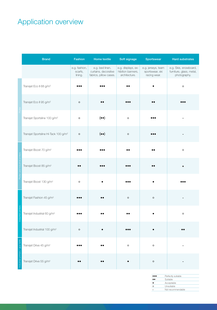# Application overview

|                                 | <b>Brand</b>                                     | Fashion                             | Home textile                                                      | Soft signage                                             | Sportswear                                            | <b>Hard substrates</b>                                            |
|---------------------------------|--------------------------------------------------|-------------------------------------|-------------------------------------------------------------------|----------------------------------------------------------|-------------------------------------------------------|-------------------------------------------------------------------|
|                                 |                                                  | e.g. fashion,<br>scarfs,<br>lining. | e.g. bed linen,<br>curtains, decorative<br>fabrics, pillow cases. | e.g. displays, ex-<br>hibition banners,<br>architecture. | e.g. jerseys, team<br>sportswear, ski<br>racing wear. | e.g. Skis, snowboard,<br>furniture, glass, metal,<br>photography. |
|                                 | Transjet Eco II 68 g/m <sup>2</sup>              |                                     |                                                                   |                                                          |                                                       | $\circ$                                                           |
|                                 | Transjet Eco II 95 g/m <sup>2</sup>              | $\circ$                             | $\bullet\bullet$                                                  |                                                          | $\bullet\bullet$                                      |                                                                   |
|                                 | Transjet Sportsline 100 g/m <sup>2</sup>         | $\circ$                             | $(\bullet \bullet)$                                               | $\circ$                                                  |                                                       |                                                                   |
|                                 | Transjet Sportsline Hi-Tack 100 g/m <sup>2</sup> | $\circ$                             | $(\bullet\,\bullet)$                                              | $\circ$                                                  |                                                       |                                                                   |
|                                 | Transjet Boost 70 g/m <sup>2</sup>               |                                     |                                                                   |                                                          |                                                       | $\circ$                                                           |
|                                 | Transjet Boost 85 g/m <sup>2</sup>               |                                     |                                                                   |                                                          |                                                       |                                                                   |
|                                 | Transjet Boost 130 g/m <sup>2</sup>              | $\circ$                             |                                                                   |                                                          |                                                       |                                                                   |
|                                 | Transjet Fashion 45 g/m <sup>2</sup>             |                                     | $\bullet$                                                         | $\circ$                                                  | $\circ$                                               |                                                                   |
|                                 | Transjet Industrial 60 g/m <sup>2</sup>          |                                     |                                                                   |                                                          |                                                       | $\circ$                                                           |
|                                 | Transjet Industrial 100 g/m <sup>2</sup>         | $\circ$                             |                                                                   |                                                          |                                                       |                                                                   |
| ndustrial printers / glue belts | Transjet Drive 45 g/m <sup>2</sup>               |                                     |                                                                   | $\circ$                                                  | $\circ$                                               |                                                                   |
|                                 | Transjet Drive 55 g/m <sup>2</sup>               |                                     | $\bullet\bullet$                                                  |                                                          | $\circ$                                               |                                                                   |

|    | Perfectly suitable |
|----|--------------------|
| ۰. | Suitable           |
|    | Acceptable         |
|    | Unsuitable         |
|    | Not recommendable  |
|    |                    |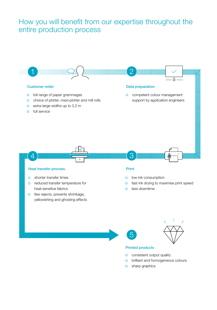# How you will benefit from our expertise throughout the entire production process



### Heat transfer process **Print**

- shorter transfer times
- reduced transfer temperature for heat-sensitive fabrics
- o few rejects, prevents shrinkage, yellowishing and ghosting effects

- o low ink consumption
- $\overline{O}$ fast ink drying to maximise print speed
- less downtime  $\Omega$





### Printed products

- **o** consistent output quality
- brilliant and homogeneous colours  $\overline{O}$
- o sharp graphics